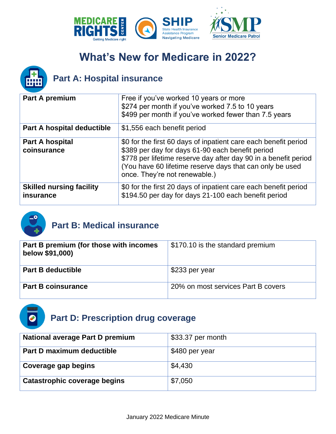



## **Part A: Hospital insurance**

| Part A premium                               | Free if you've worked 10 years or more<br>\$274 per month if you've worked 7.5 to 10 years<br>\$499 per month if you've worked fewer than 7.5 years                                                                                                                                 |
|----------------------------------------------|-------------------------------------------------------------------------------------------------------------------------------------------------------------------------------------------------------------------------------------------------------------------------------------|
| Part A hospital deductible                   | \$1,556 each benefit period                                                                                                                                                                                                                                                         |
| <b>Part A hospital</b><br>coinsurance        | \$0 for the first 60 days of inpatient care each benefit period<br>\$389 per day for days 61-90 each benefit period<br>\$778 per lifetime reserve day after day 90 in a benefit period<br>(You have 60 lifetime reserve days that can only be used<br>once. They're not renewable.) |
| <b>Skilled nursing facility</b><br>insurance | \$0 for the first 20 days of inpatient care each benefit period<br>\$194.50 per day for days 21-100 each benefit period                                                                                                                                                             |



## **Part B: Medical insurance**

| Part B premium (for those with incomes<br>below \$91,000) | \$170.10 is the standard premium   |
|-----------------------------------------------------------|------------------------------------|
| <b>Part B deductible</b>                                  | ⊦\$233 per year                    |
| <b>Part B coinsurance</b>                                 | 20% on most services Part B covers |



| <b>National average Part D premium</b> | \$33.37 per month |
|----------------------------------------|-------------------|
| Part D maximum deductible              | \$480 per year    |
| Coverage gap begins                    | \$4,430           |
| Catastrophic coverage begins           | \$7,050           |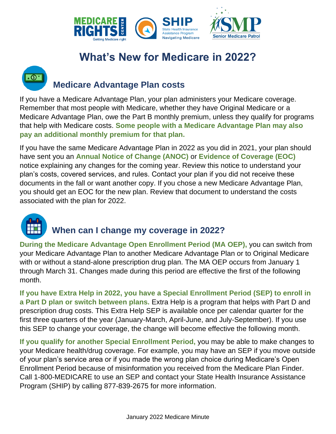



## **Medicare Advantage Plan costs**

If you have a Medicare Advantage Plan, your plan administers your Medicare coverage. Remember that most people with Medicare, whether they have Original Medicare or a Medicare Advantage Plan, owe the Part B monthly premium, unless they qualify for programs that help with Medicare costs. **Some people with a Medicare Advantage Plan may also pay an additional monthly premium for that plan.** 

If you have the same Medicare Advantage Plan in 2022 as you did in 2021, your plan should have sent you an **Annual Notice of Change (ANOC)** or **Evidence of Coverage (EOC)** notice explaining any changes for the coming year. Review this notice to understand your plan's costs, covered services, and rules. Contact your plan if you did not receive these documents in the fall or want another copy. If you chose a new Medicare Advantage Plan, you should get an EOC for the new plan. Review that document to understand the costs associated with the plan for 2022.



### **When can I change my coverage in 2022?**

**During the Medicare Advantage Open Enrollment Period (MA OEP),** you can switch from your Medicare Advantage Plan to another Medicare Advantage Plan or to Original Medicare with or without a stand-alone prescription drug plan. The MA OEP occurs from January 1 through March 31. Changes made during this period are effective the first of the following month.

**If you have Extra Help in 2022, you have a Special Enrollment Period (SEP) to enroll in a Part D plan or switch between plans.** Extra Help is a program that helps with Part D and prescription drug costs. This Extra Help SEP is available once per calendar quarter for the first three quarters of the year (January-March, April-June, and July-September). If you use this SEP to change your coverage, the change will become effective the following month.

**If you qualify for another Special Enrollment Period,** you may be able to make changes to your Medicare health/drug coverage. For example, you may have an SEP if you move outside of your plan's service area or if you made the wrong plan choice during Medicare's Open Enrollment Period because of misinformation you received from the Medicare Plan Finder. Call 1-800-MEDICARE to use an SEP and contact your State Health Insurance Assistance Program (SHIP) by calling 877-839-2675 for more information.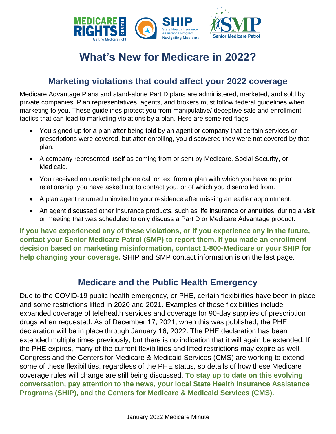

#### **Marketing violations that could affect your 2022 coverage**

Medicare Advantage Plans and stand-alone Part D plans are administered, marketed, and sold by private companies. Plan representatives, agents, and brokers must follow federal guidelines when marketing to you. These guidelines protect you from manipulative/ deceptive sale and enrollment tactics that can lead to marketing violations by a plan. Here are some red flags:

- You signed up for a plan after being told by an agent or company that certain services or prescriptions were covered, but after enrolling, you discovered they were not covered by that plan.
- A company represented itself as coming from or sent by Medicare, Social Security, or Medicaid.
- You received an unsolicited phone call or text from a plan with which you have no prior relationship, you have asked not to contact you, or of which you disenrolled from.
- A plan agent returned uninvited to your residence after missing an earlier appointment.
- An agent discussed other insurance products, such as life insurance or annuities, during a visit or meeting that was scheduled to only discuss a Part D or Medicare Advantage product.

**If you have experienced any of these violations, or if you experience any in the future, contact your Senior Medicare Patrol (SMP) to report them. If you made an enrollment decision based on marketing misinformation, contact 1-800-Medicare or your SHIP for help changing your coverage.** SHIP and SMP contact information is on the last page.

### **Medicare and the Public Health Emergency**

Due to the COVID-19 public health emergency, or PHE, certain flexibilities have been in place and some restrictions lifted in 2020 and 2021. Examples of these flexibilities include expanded coverage of telehealth services and coverage for 90-day supplies of prescription drugs when requested. As of December 17, 2021, when this was published, the PHE declaration will be in place through January 16, 2022. The PHE declaration has been extended multiple times previously, but there is no indication that it will again be extended. If the PHE expires, many of the current flexibilities and lifted restrictions may expire as well. Congress and the Centers for Medicare & Medicaid Services (CMS) are working to extend some of these flexibilities, regardless of the PHE status, so details of how these Medicare coverage rules will change are still being discussed. **To stay up to date on this evolving conversation, pay attention to the news, your local State Health Insurance Assistance Programs (SHIP), and the Centers for Medicare & Medicaid Services (CMS).**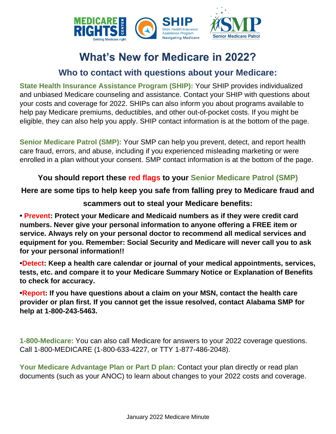

### **Who to contact with questions about your Medicare:**

**State Health Insurance Assistance Program (SHIP):** Your SHIP provides individualized and unbiased Medicare counseling and assistance. Contact your SHIP with questions about your costs and coverage for 2022. SHIPs can also inform you about programs available to help pay Medicare premiums, deductibles, and other out-of-pocket costs. If you might be eligible, they can also help you apply. SHIP contact information is at the bottom of the page.

**Senior Medicare Patrol (SMP):** Your SMP can help you prevent, detect, and report health care fraud, errors, and abuse, including if you experienced misleading marketing or were enrolled in a plan without your consent. SMP contact information is at the bottom of the page.

#### **You should report these red flags to your Senior Medicare Patrol (SMP)**

#### **Here are some tips to help keep you safe from falling prey to Medicare fraud and**

#### **scammers out to steal your Medicare benefits:**

**• Prevent: Protect your Medicare and Medicaid numbers as if they were credit card numbers. Never give your personal information to anyone offering a FREE item or service. Always rely on your personal doctor to recommend all medical services and equipment for you. Remember: Social Security and Medicare will never call you to ask for your personal information!!** 

**•Detect: Keep a health care calendar or journal of your medical appointments, services, tests, etc. and compare it to your Medicare Summary Notice or Explanation of Benefits to check for accuracy.** 

**•Report: If you have questions about a claim on your MSN, contact the health care provider or plan first. If you cannot get the issue resolved, contact Alabama SMP for help at 1-800-243-5463.**

**1-800-Medicare:** You can also call Medicare for answers to your 2022 coverage questions. Call 1-800-MEDICARE (1-800-633-4227, or TTY 1-877-486-2048).

**Your Medicare Advantage Plan or Part D plan:** Contact your plan directly or read plan documents (such as your ANOC) to learn about changes to your 2022 costs and coverage.